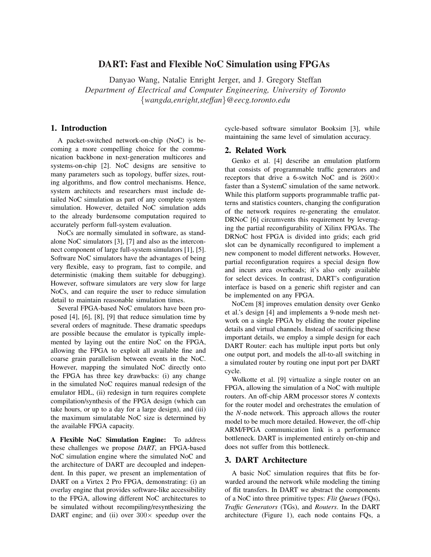# DART: Fast and Flexible NoC Simulation using FPGAs

Danyao Wang, Natalie Enright Jerger, and J. Gregory Steffan *Department of Electrical and Computer Engineering, University of Toronto* {*wangda,enright,steffan*}*@eecg.toronto.edu*

# 1. Introduction

A packet-switched network-on-chip (NoC) is becoming a more compelling choice for the communication backbone in next-generation multicores and systems-on-chip [2]. NoC designs are sensitive to many parameters such as topology, buffer sizes, routing algorithms, and flow control mechanisms. Hence, system architects and researchers must include detailed NoC simulation as part of any complete system simulation. However, detailed NoC simulation adds to the already burdensome computation required to accurately perform full-system evaluation.

NoCs are normally simulated in software, as standalone NoC simulators [3], [7] and also as the interconnect component of large full-system simulators [1], [5]. Software NoC simulators have the advantages of being very flexible, easy to program, fast to compile, and deterministic (making them suitable for debugging). However, software simulators are very slow for large NoCs, and can require the user to reduce simulation detail to maintain reasonable simulation times.

Several FPGA-based NoC emulators have been proposed [4], [6], [8], [9] that reduce simulation time by several orders of magnitude. These dramatic speedups are possible because the emulator is typically implemented by laying out the entire NoC on the FPGA, allowing the FPGA to exploit all available fine and coarse grain parallelism between events in the NoC. However, mapping the simulated NoC directly onto the FPGA has three key drawbacks: (i) any change in the simulated NoC requires manual redesign of the emulator HDL, (ii) redesign in turn requires complete compilation/synthesis of the FPGA design (which can take hours, or up to a day for a large design), and (iii) the maximum simulatable NoC size is determined by the available FPGA capacity.

A Flexible NoC Simulation Engine: To address these challenges we propose *DART*, an FPGA-based NoC simulation engine where the simulated NoC and the architecture of DART are decoupled and independent. In this paper, we present an implementation of DART on a Virtex 2 Pro FPGA, demonstrating: (i) an overlay engine that provides software-like accessibility to the FPGA, allowing different NoC architectures to be simulated without recompiling/resynthesizing the DART engine; and (ii) over  $300 \times$  speedup over the cycle-based software simulator Booksim [3], while maintaining the same level of simulation accuracy.

# 2. Related Work

Genko et al. [4] describe an emulation platform that consists of programmable traffic generators and receptors that drive a 6-switch NoC and is  $2600 \times$ faster than a SystemC simulation of the same network. While this platform supports programmable traffic patterns and statistics counters, changing the configuration of the network requires re-generating the emulator. DRNoC [6] circumvents this requirement by leveraging the partial reconfigurability of Xilinx FPGAs. The DRNoC host FPGA is divided into grids; each grid slot can be dynamically reconfigured to implement a new component to model different networks. However, partial reconfiguration requires a special design flow and incurs area overheads; it's also only available for select devices. In contrast, DART's configuration interface is based on a generic shift register and can be implemented on any FPGA.

NoCem [8] improves emulation density over Genko et al.'s design [4] and implements a 9-node mesh network on a single FPGA by eliding the router pipeline details and virtual channels. Instead of sacrificing these important details, we employ a simple design for each DART Router: each has multiple input ports but only one output port, and models the all-to-all switching in a simulated router by routing one input port per DART cycle.

Wolkotte et al. [9] virtualize a single router on an FPGA, allowing the simulation of a NoC with multiple routers. An off-chip ARM processor stores *N* contexts for the router model and orchestrates the emulation of the *N*-node network. This approach allows the router model to be much more detailed. However, the off-chip ARM/FPGA communication link is a performance bottleneck. DART is implemented entirely on-chip and does not suffer from this bottleneck.

### 3. DART Architecture

A basic NoC simulation requires that flits be forwarded around the network while modeling the timing of flit transfers. In DART we abstract the components of a NoC into three primitive types: *Flit Queues* (FQs), *Traffic Generators* (TGs), and *Routers*. In the DART architecture (Figure 1), each node contains FQs, a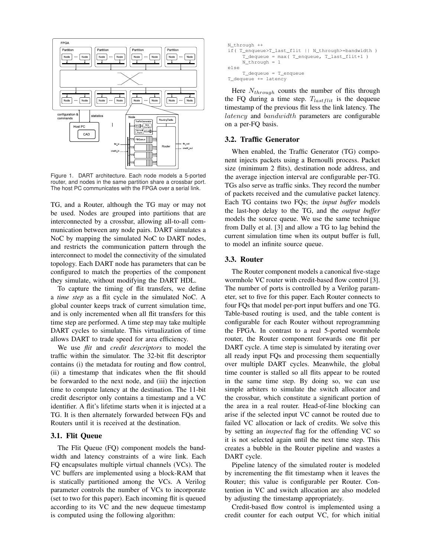

Figure 1. DART architecture. Each node models a 5-ported router, and nodes in the same partition share a crossbar port. The host PC communicates with the FPGA over a serial link.

TG, and a Router, although the TG may or may not be used. Nodes are grouped into partitions that are interconnected by a crossbar, allowing all-to-all communication between any node pairs. DART simulates a NoC by mapping the simulated NoC to DART nodes, and restricts the communication pattern through the interconnect to model the connectivity of the simulated topology. Each DART node has parameters that can be configured to match the properties of the component they simulate, without modifying the DART HDL.

To capture the timing of flit transfers, we define a *time step* as a flit cycle in the simulated NoC. A global counter keeps track of current simulation time, and is only incremented when all flit transfers for this time step are performed. A time step may take multiple DART cycles to simulate. This virtualization of time allows DART to trade speed for area efficiency.

We use *flit* and *credit descriptors* to model the traffic within the simulator. The 32-bit flit descriptor contains (i) the metadata for routing and flow control, (ii) a timestamp that indicates when the flit should be forwarded to the next node, and (iii) the injection time to compute latency at the destination. The 11-bit credit descriptor only contains a timestamp and a VC identifier. A flit's lifetime starts when it is injected at a TG. It is then alternately forwarded between FQs and Routers until it is received at the destination.

### 3.1. Flit Queue

The Flit Queue (FQ) component models the bandwidth and latency constraints of a wire link. Each FQ encapsulates multiple virtual channels (VCs). The VC buffers are implemented using a block-RAM that is statically partitioned among the VCs. A Verilog parameter controls the number of VCs to incorporate (set to two for this paper). Each incoming flit is queued according to its VC and the new dequeue timestamp is computed using the following algorithm:

```
N_through ++
if( T_enqueue>T_last_flit || N_through>=bandwidth )
     T_dequeue = max( T_enqueue, T_last_flit+1 )
     N_through = 1
else
     T_dequeue = T_enqueue
T_dequeue += latency
```
Here  $N_{through}$  counts the number of flits through the FQ during a time step.  $T_{lastfilt}$  is the dequeue timestamp of the previous flit less the link latency. The latency and bandwidth parameters are configurable on a per-FQ basis.

### 3.2. Traffic Generator

When enabled, the Traffic Generator (TG) component injects packets using a Bernoulli process. Packet size (minimum 2 flits), destination node address, and the average injection interval are configurable per-TG. TGs also serve as traffic sinks. They record the number of packets received and the cumulative packet latency. Each TG contains two FQs; the *input buffer* models the last-hop delay to the TG, and the *output buffer* models the source queue. We use the same technique from Dally et al. [3] and allow a TG to lag behind the current simulation time when its output buffer is full, to model an infinite source queue.

### 3.3. Router

The Router component models a canonical five-stage wormhole VC router with credit-based flow control [3]. The number of ports is controlled by a Verilog parameter, set to five for this paper. Each Router connects to four FQs that model per-port input buffers and one TG. Table-based routing is used, and the table content is configurable for each Router without reprogramming the FPGA. In contrast to a real 5-ported wormhole router, the Router component forwards one flit per DART cycle. A time step is simulated by iterating over all ready input FQs and processing them sequentially over multiple DART cycles. Meanwhile, the global time counter is stalled so all flits appear to be routed in the same time step. By doing so, we can use simple arbiters to simulate the switch allocator and the crossbar, which constitute a significant portion of the area in a real router. Head-of-line blocking can arise if the selected input VC cannot be routed due to failed VC allocation or lack of credits. We solve this by setting an *inspected* flag for the offending VC so it is not selected again until the next time step. This creates a bubble in the Router pipeline and wastes a DART cycle.

Pipeline latency of the simulated router is modeled by incrementing the flit timestamp when it leaves the Router; this value is configurable per Router. Contention in VC and switch allocation are also modeled by adjusting the timestamp appropriately.

Credit-based flow control is implemented using a credit counter for each output VC, for which initial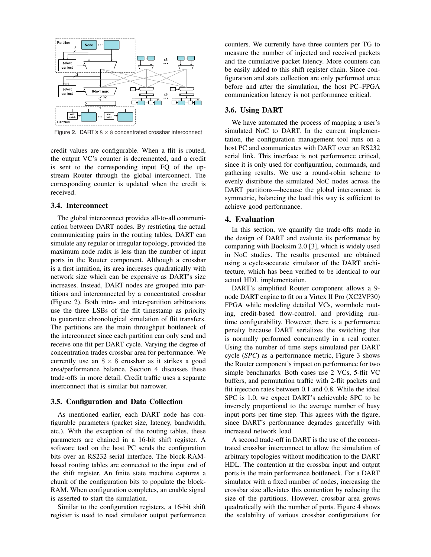

Figure 2. DART's  $8 \times 8$  concentrated crossbar interconnect

credit values are configurable. When a flit is routed, the output VC's counter is decremented, and a credit is sent to the corresponding input FQ of the upstream Router through the global interconnect. The corresponding counter is updated when the credit is received.

#### 3.4. Interconnect

The global interconnect provides all-to-all communication between DART nodes. By restricting the actual communicating pairs in the routing tables, DART can simulate any regular or irregular topology, provided the maximum node radix is less than the number of input ports in the Router component. Although a crossbar is a first intuition, its area increases quadratically with network size which can be expensive as DART's size increases. Instead, DART nodes are grouped into partitions and interconnected by a concentrated crossbar (Figure 2). Both intra- and inter-partition arbitrations use the three LSBs of the flit timestamp as priority to guarantee chronological simulation of flit transfers. The partitions are the main throughput bottleneck of the interconnect since each partition can only send and receive one flit per DART cycle. Varying the degree of concentration trades crossbar area for performance. We currently use an  $8 \times 8$  crossbar as it strikes a good area/performance balance. Section 4 discusses these trade-offs in more detail. Credit traffic uses a separate interconnect that is similar but narrower.

#### 3.5. Configuration and Data Collection

As mentioned earlier, each DART node has configurable parameters (packet size, latency, bandwidth, etc.). With the exception of the routing tables, these parameters are chained in a 16-bit shift register. A software tool on the host PC sends the configuration bits over an RS232 serial interface. The block-RAMbased routing tables are connected to the input end of the shift register. An finite state machine captures a chunk of the configuration bits to populate the block-RAM. When configuration completes, an enable signal is asserted to start the simulation.

Similar to the configuration registers, a 16-bit shift register is used to read simulator output performance counters. We currently have three counters per TG to measure the number of injected and received packets and the cumulative packet latency. More counters can be easily added to this shift register chain. Since configuration and stats collection are only performed once before and after the simulation, the host PC–FPGA communication latency is not performance critical.

#### 3.6. Using DART

We have automated the process of mapping a user's simulated NoC to DART. In the current implementation, the configuration management tool runs on a host PC and communicates with DART over an RS232 serial link. This interface is not performance critical, since it is only used for configuration, commands, and gathering results. We use a round-robin scheme to evenly distribute the simulated NoC nodes across the DART partitions—because the global interconnect is symmetric, balancing the load this way is sufficient to achieve good performance.

# 4. Evaluation

In this section, we quantify the trade-offs made in the design of DART and evaluate its performance by comparing with Booksim 2.0 [3], which is widely used in NoC studies. The results presented are obtained using a cycle-accurate simulator of the DART architecture, which has been verified to be identical to our actual HDL implementation.

DART's simplified Router component allows a 9 node DART engine to fit on a Virtex II Pro (XC2VP30) FPGA while modeling detailed VCs, wormhole routing, credit-based flow-control, and providing runtime configurability. However, there is a performance penalty because DART serializes the switching that is normally performed concurrently in a real router. Using the number of time steps simulated per DART cycle (*SPC*) as a performance metric, Figure 3 shows the Router component's impact on performance for two simple benchmarks. Both cases use 2 VCs, 5-flit VC buffers, and permutation traffic with 2-flit packets and flit injection rates between 0.1 and 0.8. While the ideal SPC is 1.0, we expect DART's achievable SPC to be inversely proportional to the average number of busy input ports per time step. This agrees with the figure, since DART's performance degrades gracefully with increased network load.

A second trade-off in DART is the use of the concentrated crossbar interconnect to allow the simulation of arbitrary topologies without modification to the DART HDL. The contention at the crossbar input and output ports is the main performance bottleneck. For a DART simulator with a fixed number of nodes, increasing the crossbar size alleviates this contention by reducing the size of the partitions. However, crossbar area grows quadratically with the number of ports. Figure 4 shows the scalability of various crossbar configurations for